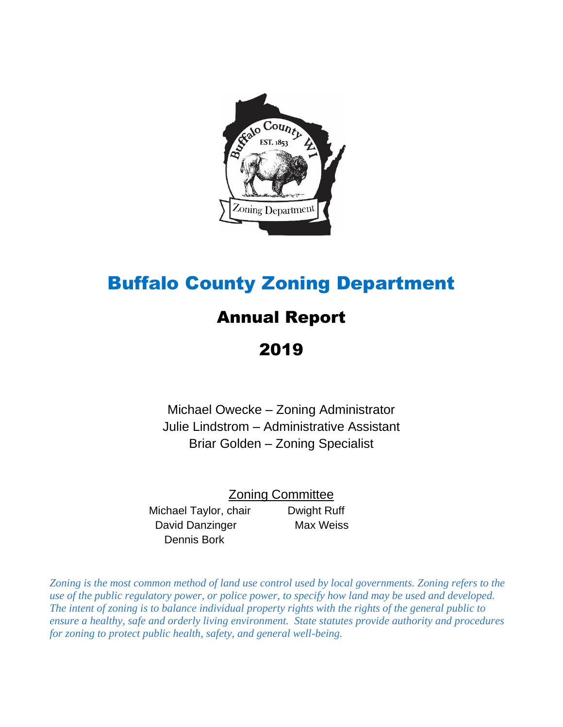

# Buffalo County Zoning Department

# Annual Report

2019

Michael Owecke – Zoning Administrator Julie Lindstrom – Administrative Assistant Briar Golden – Zoning Specialist

Zoning Committee

Michael Taylor, chair Dwight Ruff David Danzinger Max Weiss Dennis Bork

*Zoning is the most common method of land use control used by local governments. Zoning refers to the use of the public regulatory power, or police power, to specify how land may be used and developed. The intent of zoning is to balance individual property rights with the rights of the general public to ensure a healthy, safe and orderly living environment. State statutes provide authority and procedures for zoning to protect public health, safety, and general well-being.*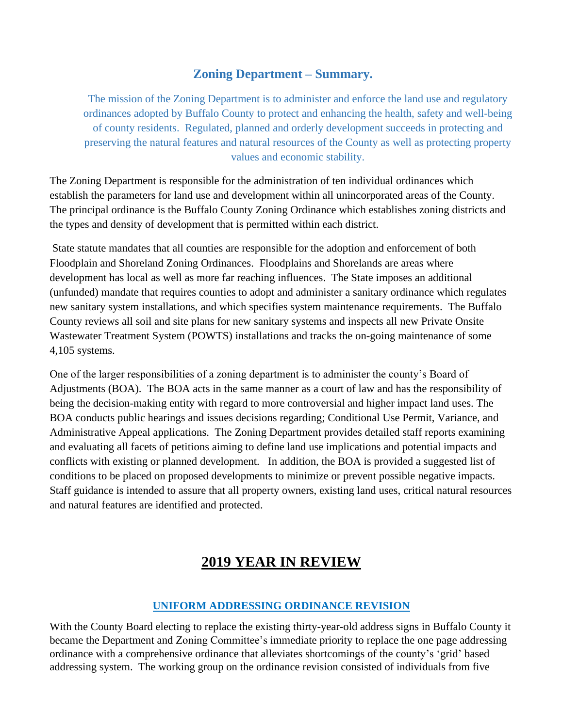### **Zoning Department – Summary.**

The mission of the Zoning Department is to administer and enforce the land use and regulatory ordinances adopted by Buffalo County to protect and enhancing the health, safety and well-being of county residents. Regulated, planned and orderly development succeeds in protecting and preserving the natural features and natural resources of the County as well as protecting property values and economic stability.

The Zoning Department is responsible for the administration of ten individual ordinances which establish the parameters for land use and development within all unincorporated areas of the County. The principal ordinance is the Buffalo County Zoning Ordinance which establishes zoning districts and the types and density of development that is permitted within each district.

State statute mandates that all counties are responsible for the adoption and enforcement of both Floodplain and Shoreland Zoning Ordinances. Floodplains and Shorelands are areas where development has local as well as more far reaching influences. The State imposes an additional (unfunded) mandate that requires counties to adopt and administer a sanitary ordinance which regulates new sanitary system installations, and which specifies system maintenance requirements. The Buffalo County reviews all soil and site plans for new sanitary systems and inspects all new Private Onsite Wastewater Treatment System (POWTS) installations and tracks the on-going maintenance of some 4,105 systems.

One of the larger responsibilities of a zoning department is to administer the county's Board of Adjustments (BOA). The BOA acts in the same manner as a court of law and has the responsibility of being the decision-making entity with regard to more controversial and higher impact land uses. The BOA conducts public hearings and issues decisions regarding; Conditional Use Permit, Variance, and Administrative Appeal applications. The Zoning Department provides detailed staff reports examining and evaluating all facets of petitions aiming to define land use implications and potential impacts and conflicts with existing or planned development. In addition, the BOA is provided a suggested list of conditions to be placed on proposed developments to minimize or prevent possible negative impacts. Staff guidance is intended to assure that all property owners, existing land uses, critical natural resources and natural features are identified and protected.

# **2019 YEAR IN REVIEW**

#### **UNIFORM ADDRESSING ORDINANCE REVISION**

With the County Board electing to replace the existing thirty-year-old address signs in Buffalo County it became the Department and Zoning Committee's immediate priority to replace the one page addressing ordinance with a comprehensive ordinance that alleviates shortcomings of the county's 'grid' based addressing system. The working group on the ordinance revision consisted of individuals from five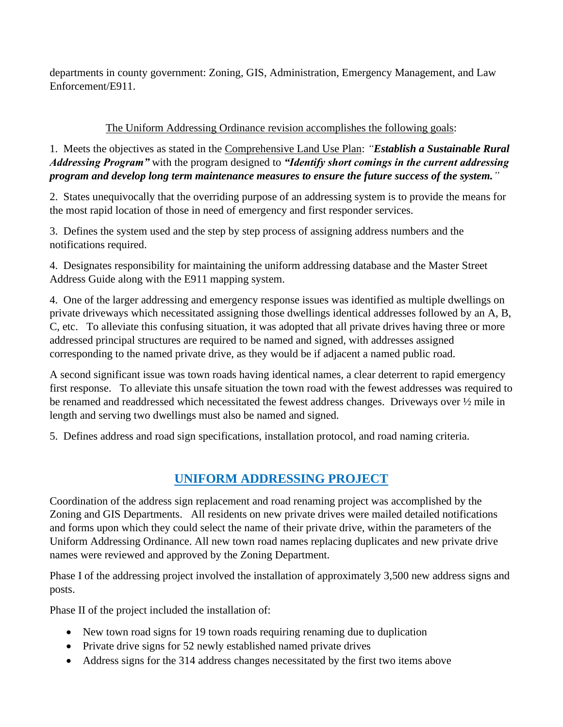departments in county government: Zoning, GIS, Administration, Emergency Management, and Law Enforcement/E911.

#### The Uniform Addressing Ordinance revision accomplishes the following goals:

1. Meets the objectives as stated in the Comprehensive Land Use Plan: *"Establish a Sustainable Rural Addressing Program"* with the program designed to *"Identify short comings in the current addressing program and develop long term maintenance measures to ensure the future success of the system."*

2. States unequivocally that the overriding purpose of an addressing system is to provide the means for the most rapid location of those in need of emergency and first responder services.

3. Defines the system used and the step by step process of assigning address numbers and the notifications required.

4. Designates responsibility for maintaining the uniform addressing database and the Master Street Address Guide along with the E911 mapping system.

4. One of the larger addressing and emergency response issues was identified as multiple dwellings on private driveways which necessitated assigning those dwellings identical addresses followed by an A, B, C, etc. To alleviate this confusing situation, it was adopted that all private drives having three or more addressed principal structures are required to be named and signed, with addresses assigned corresponding to the named private drive, as they would be if adjacent a named public road.

A second significant issue was town roads having identical names, a clear deterrent to rapid emergency first response. To alleviate this unsafe situation the town road with the fewest addresses was required to be renamed and readdressed which necessitated the fewest address changes. Driveways over ½ mile in length and serving two dwellings must also be named and signed.

5. Defines address and road sign specifications, installation protocol, and road naming criteria.

# **UNIFORM ADDRESSING PROJECT**

Coordination of the address sign replacement and road renaming project was accomplished by the Zoning and GIS Departments. All residents on new private drives were mailed detailed notifications and forms upon which they could select the name of their private drive, within the parameters of the Uniform Addressing Ordinance. All new town road names replacing duplicates and new private drive names were reviewed and approved by the Zoning Department.

Phase I of the addressing project involved the installation of approximately 3,500 new address signs and posts.

Phase II of the project included the installation of:

- New town road signs for 19 town roads requiring renaming due to duplication
- Private drive signs for 52 newly established named private drives
- Address signs for the 314 address changes necessitated by the first two items above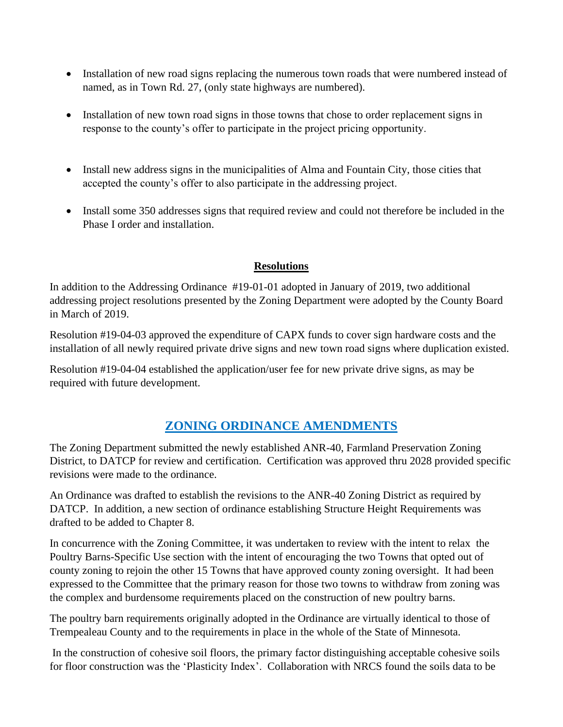- Installation of new road signs replacing the numerous town roads that were numbered instead of named, as in Town Rd. 27, (only state highways are numbered).
- Installation of new town road signs in those towns that chose to order replacement signs in response to the county's offer to participate in the project pricing opportunity.
- Install new address signs in the municipalities of Alma and Fountain City, those cities that accepted the county's offer to also participate in the addressing project.
- Install some 350 addresses signs that required review and could not therefore be included in the Phase I order and installation.

#### **Resolutions**

In addition to the Addressing Ordinance #19-01-01 adopted in January of 2019, two additional addressing project resolutions presented by the Zoning Department were adopted by the County Board in March of 2019.

Resolution #19-04-03 approved the expenditure of CAPX funds to cover sign hardware costs and the installation of all newly required private drive signs and new town road signs where duplication existed.

Resolution #19-04-04 established the application/user fee for new private drive signs, as may be required with future development.

# **ZONING ORDINANCE AMENDMENTS**

The Zoning Department submitted the newly established ANR-40, Farmland Preservation Zoning District, to DATCP for review and certification. Certification was approved thru 2028 provided specific revisions were made to the ordinance.

An Ordinance was drafted to establish the revisions to the ANR-40 Zoning District as required by DATCP. In addition, a new section of ordinance establishing Structure Height Requirements was drafted to be added to Chapter 8.

In concurrence with the Zoning Committee, it was undertaken to review with the intent to relax the Poultry Barns-Specific Use section with the intent of encouraging the two Towns that opted out of county zoning to rejoin the other 15 Towns that have approved county zoning oversight. It had been expressed to the Committee that the primary reason for those two towns to withdraw from zoning was the complex and burdensome requirements placed on the construction of new poultry barns.

The poultry barn requirements originally adopted in the Ordinance are virtually identical to those of Trempealeau County and to the requirements in place in the whole of the State of Minnesota.

In the construction of cohesive soil floors, the primary factor distinguishing acceptable cohesive soils for floor construction was the 'Plasticity Index'. Collaboration with NRCS found the soils data to be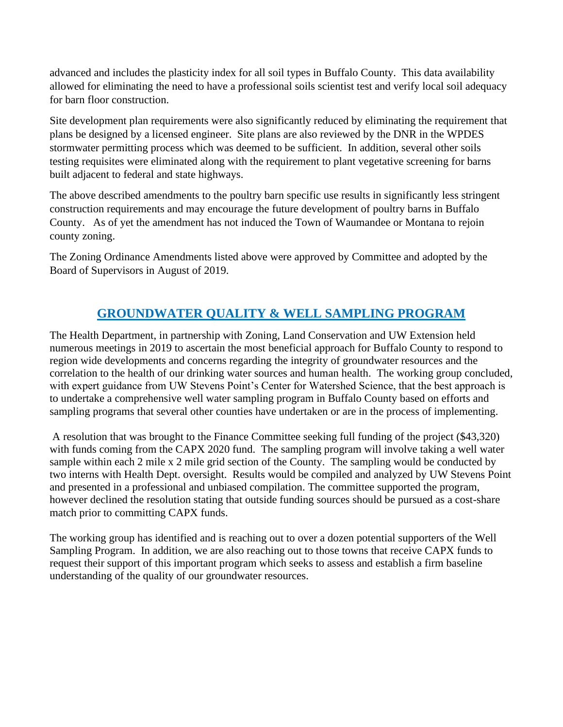advanced and includes the plasticity index for all soil types in Buffalo County. This data availability allowed for eliminating the need to have a professional soils scientist test and verify local soil adequacy for barn floor construction.

Site development plan requirements were also significantly reduced by eliminating the requirement that plans be designed by a licensed engineer. Site plans are also reviewed by the DNR in the WPDES stormwater permitting process which was deemed to be sufficient. In addition, several other soils testing requisites were eliminated along with the requirement to plant vegetative screening for barns built adjacent to federal and state highways.

The above described amendments to the poultry barn specific use results in significantly less stringent construction requirements and may encourage the future development of poultry barns in Buffalo County. As of yet the amendment has not induced the Town of Waumandee or Montana to rejoin county zoning.

The Zoning Ordinance Amendments listed above were approved by Committee and adopted by the Board of Supervisors in August of 2019.

# **GROUNDWATER QUALITY & WELL SAMPLING PROGRAM**

The Health Department, in partnership with Zoning, Land Conservation and UW Extension held numerous meetings in 2019 to ascertain the most beneficial approach for Buffalo County to respond to region wide developments and concerns regarding the integrity of groundwater resources and the correlation to the health of our drinking water sources and human health. The working group concluded, with expert guidance from UW Stevens Point's Center for Watershed Science, that the best approach is to undertake a comprehensive well water sampling program in Buffalo County based on efforts and sampling programs that several other counties have undertaken or are in the process of implementing.

A resolution that was brought to the Finance Committee seeking full funding of the project (\$43,320) with funds coming from the CAPX 2020 fund. The sampling program will involve taking a well water sample within each 2 mile x 2 mile grid section of the County. The sampling would be conducted by two interns with Health Dept. oversight. Results would be compiled and analyzed by UW Stevens Point and presented in a professional and unbiased compilation. The committee supported the program, however declined the resolution stating that outside funding sources should be pursued as a cost-share match prior to committing CAPX funds.

The working group has identified and is reaching out to over a dozen potential supporters of the Well Sampling Program. In addition, we are also reaching out to those towns that receive CAPX funds to request their support of this important program which seeks to assess and establish a firm baseline understanding of the quality of our groundwater resources.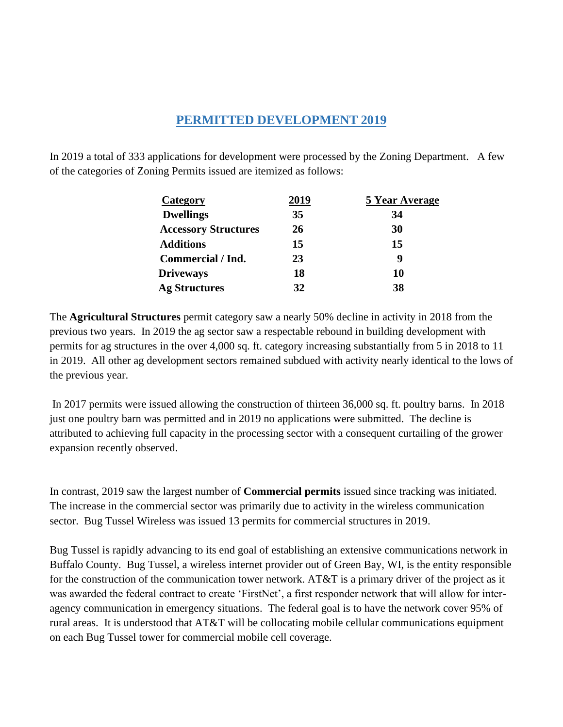### **PERMITTED DEVELOPMENT 2019**

In 2019 a total of 333 applications for development were processed by the Zoning Department. A few of the categories of Zoning Permits issued are itemized as follows:

| <b>Category</b>             | <u>2019</u> | <b>5 Year Average</b> |
|-----------------------------|-------------|-----------------------|
| <b>Dwellings</b>            | 35          | 34                    |
| <b>Accessory Structures</b> | 26          | 30                    |
| <b>Additions</b>            | 15          | 15                    |
| Commercial / Ind.           | 23          | 4                     |
| <b>Driveways</b>            | 18          | 10                    |
| <b>Ag Structures</b>        | 32          | 38                    |

The **Agricultural Structures** permit category saw a nearly 50% decline in activity in 2018 from the previous two years. In 2019 the ag sector saw a respectable rebound in building development with permits for ag structures in the over 4,000 sq. ft. category increasing substantially from 5 in 2018 to 11 in 2019. All other ag development sectors remained subdued with activity nearly identical to the lows of the previous year.

In 2017 permits were issued allowing the construction of thirteen 36,000 sq. ft. poultry barns. In 2018 just one poultry barn was permitted and in 2019 no applications were submitted. The decline is attributed to achieving full capacity in the processing sector with a consequent curtailing of the grower expansion recently observed.

In contrast, 2019 saw the largest number of **Commercial permits** issued since tracking was initiated. The increase in the commercial sector was primarily due to activity in the wireless communication sector. Bug Tussel Wireless was issued 13 permits for commercial structures in 2019.

Bug Tussel is rapidly advancing to its end goal of establishing an extensive communications network in Buffalo County. Bug Tussel, a wireless internet provider out of Green Bay, WI, is the entity responsible for the construction of the communication tower network. AT&T is a primary driver of the project as it was awarded the federal contract to create 'FirstNet', a first responder network that will allow for interagency communication in emergency situations. The federal goal is to have the network cover 95% of rural areas. It is understood that AT&T will be collocating mobile cellular communications equipment on each Bug Tussel tower for commercial mobile cell coverage.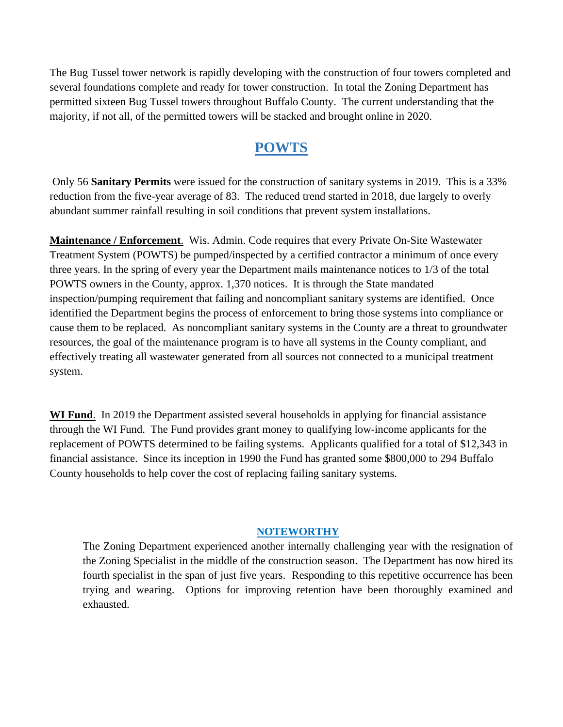The Bug Tussel tower network is rapidly developing with the construction of four towers completed and several foundations complete and ready for tower construction. In total the Zoning Department has permitted sixteen Bug Tussel towers throughout Buffalo County. The current understanding that the majority, if not all, of the permitted towers will be stacked and brought online in 2020.

# **POWTS**

Only 56 **Sanitary Permits** were issued for the construction of sanitary systems in 2019. This is a 33% reduction from the five-year average of 83. The reduced trend started in 2018, due largely to overly abundant summer rainfall resulting in soil conditions that prevent system installations.

**Maintenance / Enforcement**. Wis. Admin. Code requires that every Private On-Site Wastewater Treatment System (POWTS) be pumped/inspected by a certified contractor a minimum of once every three years. In the spring of every year the Department mails maintenance notices to 1/3 of the total POWTS owners in the County, approx. 1,370 notices. It is through the State mandated inspection/pumping requirement that failing and noncompliant sanitary systems are identified. Once identified the Department begins the process of enforcement to bring those systems into compliance or cause them to be replaced. As noncompliant sanitary systems in the County are a threat to groundwater resources, the goal of the maintenance program is to have all systems in the County compliant, and effectively treating all wastewater generated from all sources not connected to a municipal treatment system.

**WI Fund**. In 2019 the Department assisted several households in applying for financial assistance through the WI Fund. The Fund provides grant money to qualifying low-income applicants for the replacement of POWTS determined to be failing systems. Applicants qualified for a total of \$12,343 in financial assistance. Since its inception in 1990 the Fund has granted some \$800,000 to 294 Buffalo County households to help cover the cost of replacing failing sanitary systems.

#### **NOTEWORTHY**

The Zoning Department experienced another internally challenging year with the resignation of the Zoning Specialist in the middle of the construction season. The Department has now hired its fourth specialist in the span of just five years. Responding to this repetitive occurrence has been trying and wearing. Options for improving retention have been thoroughly examined and exhausted.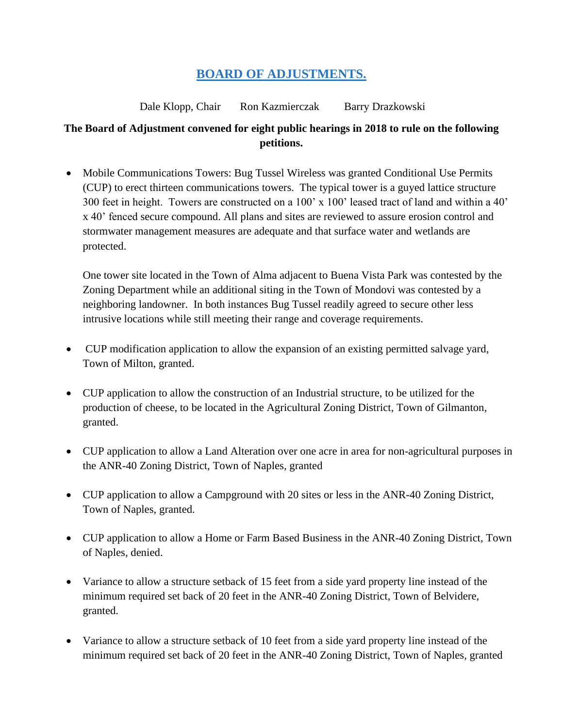## **BOARD OF ADJUSTMENTS.**

Dale Klopp, Chair Ron Kazmierczak Barry Drazkowski

#### **The Board of Adjustment convened for eight public hearings in 2018 to rule on the following petitions.**

• Mobile Communications Towers: Bug Tussel Wireless was granted Conditional Use Permits (CUP) to erect thirteen communications towers. The typical tower is a guyed lattice structure 300 feet in height. Towers are constructed on a 100' x 100' leased tract of land and within a 40' x 40' fenced secure compound. All plans and sites are reviewed to assure erosion control and stormwater management measures are adequate and that surface water and wetlands are protected.

One tower site located in the Town of Alma adjacent to Buena Vista Park was contested by the Zoning Department while an additional siting in the Town of Mondovi was contested by a neighboring landowner. In both instances Bug Tussel readily agreed to secure other less intrusive locations while still meeting their range and coverage requirements.

- CUP modification application to allow the expansion of an existing permitted salvage yard, Town of Milton, granted.
- CUP application to allow the construction of an Industrial structure, to be utilized for the production of cheese, to be located in the Agricultural Zoning District, Town of Gilmanton, granted.
- CUP application to allow a Land Alteration over one acre in area for non-agricultural purposes in the ANR-40 Zoning District, Town of Naples, granted
- CUP application to allow a Campground with 20 sites or less in the ANR-40 Zoning District, Town of Naples, granted.
- CUP application to allow a Home or Farm Based Business in the ANR-40 Zoning District, Town of Naples, denied.
- Variance to allow a structure setback of 15 feet from a side yard property line instead of the minimum required set back of 20 feet in the ANR-40 Zoning District, Town of Belvidere, granted.
- Variance to allow a structure setback of 10 feet from a side yard property line instead of the minimum required set back of 20 feet in the ANR-40 Zoning District, Town of Naples, granted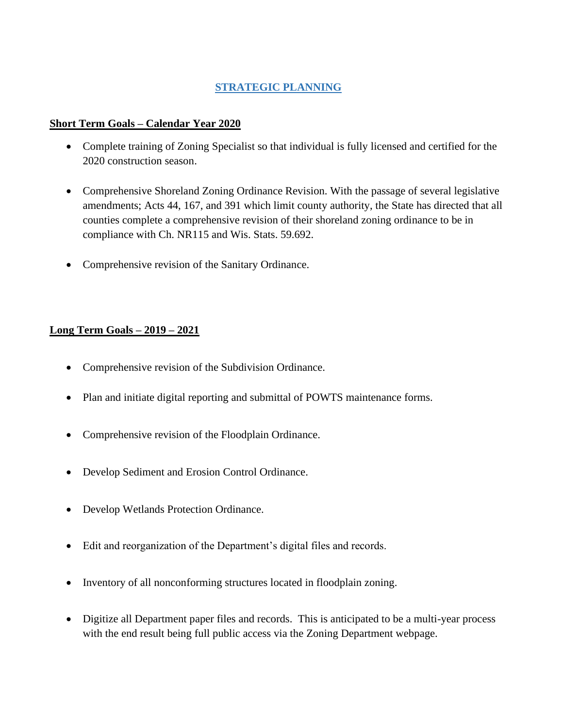#### **STRATEGIC PLANNING**

#### **Short Term Goals – Calendar Year 2020**

- Complete training of Zoning Specialist so that individual is fully licensed and certified for the 2020 construction season.
- Comprehensive Shoreland Zoning Ordinance Revision. With the passage of several legislative amendments; Acts 44, 167, and 391 which limit county authority, the State has directed that all counties complete a comprehensive revision of their shoreland zoning ordinance to be in compliance with Ch. NR115 and Wis. Stats. 59.692.
- Comprehensive revision of the Sanitary Ordinance.

#### **Long Term Goals – 2019 – 2021**

- Comprehensive revision of the Subdivision Ordinance.
- Plan and initiate digital reporting and submittal of POWTS maintenance forms.
- Comprehensive revision of the Floodplain Ordinance.
- Develop Sediment and Erosion Control Ordinance.
- Develop Wetlands Protection Ordinance.
- Edit and reorganization of the Department's digital files and records.
- Inventory of all nonconforming structures located in floodplain zoning.
- Digitize all Department paper files and records. This is anticipated to be a multi-year process with the end result being full public access via the Zoning Department webpage.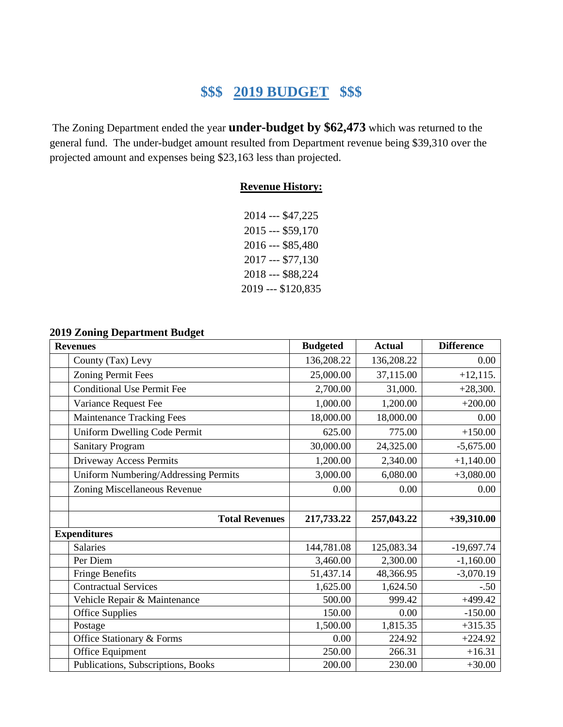# **\$\$\$ 2019 BUDGET \$\$\$**

The Zoning Department ended the year **under-budget by \$62,473** which was returned to the general fund. The under-budget amount resulted from Department revenue being \$39,310 over the projected amount and expenses being \$23,163 less than projected.

#### **Revenue History:**

| 2014 --- \$47,225  |
|--------------------|
| 2015 --- \$59,170  |
| 2016 --- \$85,480  |
| 2017 --- \$77,130  |
| 2018 --- \$88,224  |
| 2019 --- \$120,835 |

#### **2019 Zoning Department Budget**

| <b>Revenues</b>                      | <b>Budgeted</b> | <b>Actual</b> | <b>Difference</b> |
|--------------------------------------|-----------------|---------------|-------------------|
| County (Tax) Levy                    | 136,208.22      | 136,208.22    | 0.00              |
| <b>Zoning Permit Fees</b>            | 25,000.00       | 37,115.00     | $+12,115.$        |
| <b>Conditional Use Permit Fee</b>    | 2,700.00        | 31,000.       | $+28,300.$        |
| Variance Request Fee                 | 1,000.00        | 1,200.00      | $+200.00$         |
| <b>Maintenance Tracking Fees</b>     | 18,000.00       | 18,000.00     | 0.00              |
| Uniform Dwelling Code Permit         | 625.00          | 775.00        | $+150.00$         |
| <b>Sanitary Program</b>              | 30,000.00       | 24,325.00     | $-5,675.00$       |
| Driveway Access Permits              | 1,200.00        | 2,340.00      | $+1,140.00$       |
| Uniform Numbering/Addressing Permits | 3,000.00        | 6,080.00      | $+3,080.00$       |
| Zoning Miscellaneous Revenue         | 0.00            | 0.00          | 0.00              |
|                                      |                 |               |                   |
| <b>Total Revenues</b>                | 217,733.22      | 257,043.22    | $+39,310.00$      |
| <b>Expenditures</b>                  |                 |               |                   |
| <b>Salaries</b>                      | 144,781.08      | 125,083.34    | $-19,697.74$      |
| Per Diem                             | 3,460.00        | 2,300.00      | $-1,160.00$       |
| <b>Fringe Benefits</b>               | 51,437.14       | 48,366.95     | $-3,070.19$       |
| <b>Contractual Services</b>          | 1,625.00        | 1,624.50      | $-.50$            |
| Vehicle Repair & Maintenance         | 500.00          | 999.42        | $+499.42$         |
| <b>Office Supplies</b>               | 150.00          | 0.00          | $-150.00$         |
| Postage                              | 1,500.00        | 1,815.35      | $+315.35$         |
| Office Stationary & Forms            | 0.00            | 224.92        | $+224.92$         |
| Office Equipment                     | 250.00          | 266.31        | $+16.31$          |
| Publications, Subscriptions, Books   | 200.00          | 230.00        | $+30.00$          |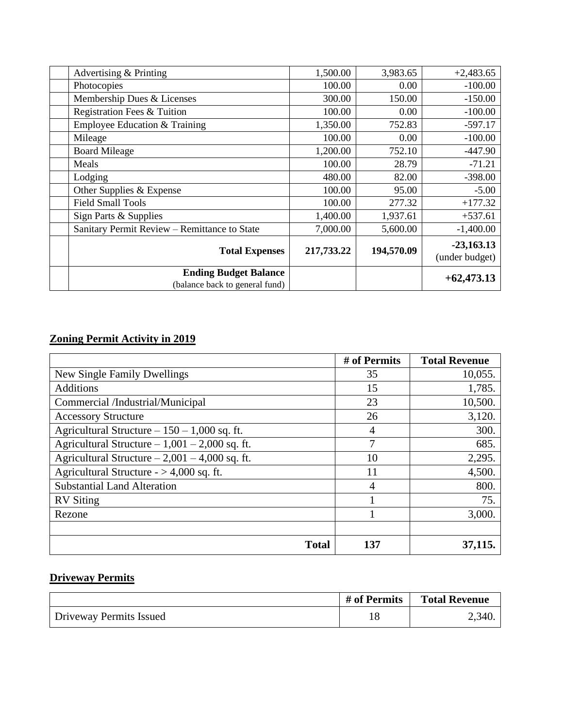| Advertising & Printing                                         | 1,500.00   | 3,983.65   | $+2,483.65$                    |
|----------------------------------------------------------------|------------|------------|--------------------------------|
| Photocopies                                                    | 100.00     | 0.00       | $-100.00$                      |
| Membership Dues & Licenses                                     | 300.00     | 150.00     | $-150.00$                      |
| Registration Fees & Tuition                                    | 100.00     | 0.00       | $-100.00$                      |
| Employee Education & Training                                  | 1,350.00   | 752.83     | $-597.17$                      |
| Mileage                                                        | 100.00     | 0.00       | $-100.00$                      |
| <b>Board Mileage</b>                                           | 1,200.00   | 752.10     | $-447.90$                      |
| Meals                                                          | 100.00     | 28.79      | $-71.21$                       |
| Lodging                                                        | 480.00     | 82.00      | $-398.00$                      |
| Other Supplies & Expense                                       | 100.00     | 95.00      | $-5.00$                        |
| <b>Field Small Tools</b>                                       | 100.00     | 277.32     | $+177.32$                      |
| Sign Parts & Supplies                                          | 1,400.00   | 1,937.61   | $+537.61$                      |
| Sanitary Permit Review - Remittance to State                   | 7,000.00   | 5,600.00   | $-1,400.00$                    |
| <b>Total Expenses</b>                                          | 217,733.22 | 194,570.09 | $-23,163.13$<br>(under budget) |
| <b>Ending Budget Balance</b><br>(balance back to general fund) |            |            | $+62,473.13$                   |

#### **Zoning Permit Activity in 2019**

|                                                 | # of Permits | <b>Total Revenue</b> |
|-------------------------------------------------|--------------|----------------------|
| New Single Family Dwellings                     | 35           | 10,055.              |
| <b>Additions</b>                                | 15           | 1,785.               |
| Commercial /Industrial/Municipal                | 23           | 10,500.              |
| <b>Accessory Structure</b>                      | 26           | 3,120.               |
| Agricultural Structure $-150 - 1,000$ sq. ft.   | 4            | 300.                 |
| Agricultural Structure $-1,001 - 2,000$ sq. ft. |              | 685.                 |
| Agricultural Structure $-2,001 - 4,000$ sq. ft. | 10           | 2,295.               |
| Agricultural Structure $-$ > 4,000 sq. ft.      | 11           | 4,500.               |
| <b>Substantial Land Alteration</b>              | 4            | 800.                 |
| <b>RV</b> Siting                                |              | 75.                  |
| Rezone                                          |              | 3,000.               |
|                                                 |              |                      |
| <b>Total</b>                                    | 137          | 37,115.              |

## **Driveway Permits**

|                         | # of Permits | <b>Total Revenue</b> |
|-------------------------|--------------|----------------------|
| Driveway Permits Issued |              | 2,340.               |